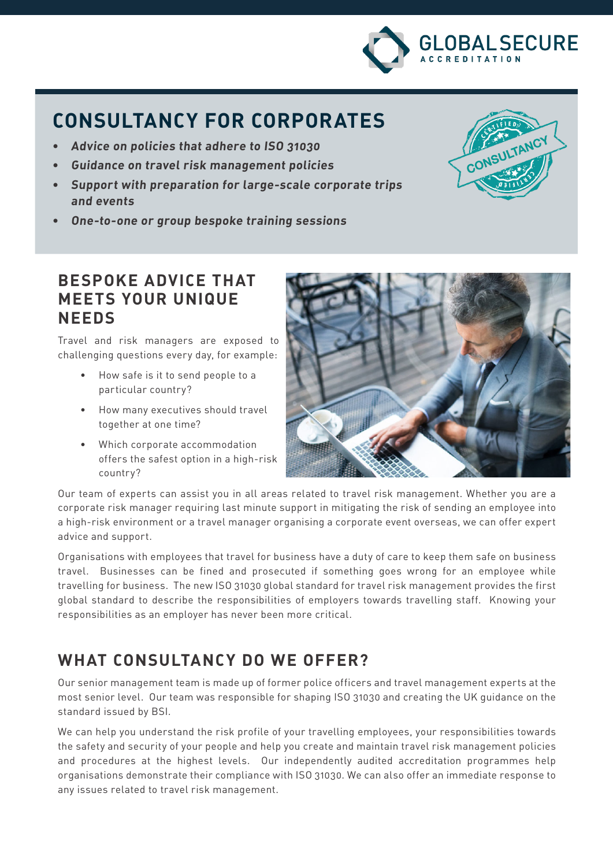

# **CONSULTANCY FOR CORPORATES**

- **• Advice on policies that adhere to ISO 31030**
- **• Guidance on travel risk management policies**
- **• Support with preparation for large-scale corporate trips and events**
- **• One-to-one or group bespoke training sessions**



## **BESPOKE ADVICE THAT MEETS YOUR UNIQUE NEEDS**

Travel and risk managers are exposed to challenging questions every day, for example:

- How safe is it to send people to a particular country?
- How many executives should travel together at one time?
- Which corporate accommodation offers the safest option in a high-risk country?



Our team of experts can assist you in all areas related to travel risk management. Whether you are a corporate risk manager requiring last minute support in mitigating the risk of sending an employee into a high-risk environment or a travel manager organising a corporate event overseas, we can offer expert advice and support.

Organisations with employees that travel for business have a duty of care to keep them safe on business travel. Businesses can be fined and prosecuted if something goes wrong for an employee while travelling for business. The new ISO 31030 global standard for travel risk management provides the first global standard to describe the responsibilities of employers towards travelling staff. Knowing your responsibilities as an employer has never been more critical.

# **WHAT CONSULTANCY DO WE OFFER?**

Our senior management team is made up of former police officers and travel management experts at the most senior level. Our team was responsible for shaping ISO 31030 and creating the UK guidance on the standard issued by BSI.

We can help you understand the risk profile of your travelling employees, your responsibilities towards the safety and security of your people and help you create and maintain travel risk management policies and procedures at the highest levels. Our independently audited accreditation programmes help organisations demonstrate their compliance with ISO 31030. We can also offer an immediate response to any issues related to travel risk management.